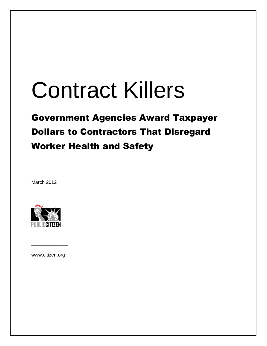# Contract Killers

# Government Agencies Award Taxpayer Dollars to Contractors That Disregard Worker Health and Safety

March 2012



www.citizen.org

–––––––––––––––––––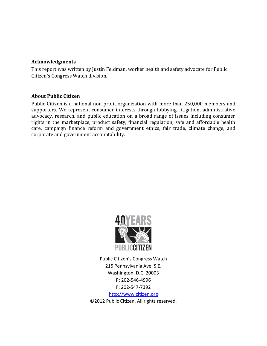#### **Acknowledgments**

This report was written by Justin Feldman, worker health and safety advocate for Public Citizen's Congress Watch division.

#### **About Public Citizen**

Public Citizen is a national non-profit organization with more than 250,000 members and supporters. We represent consumer interests through lobbying, litigation, administrative advocacy, research, and public education on a broad range of issues including consumer rights in the marketplace, product safety, financial regulation, safe and affordable health care, campaign finance reform and government ethics, fair trade, climate change, and corporate and government accountability.



Public Citizen's Congress Watch 215 Pennsylvania Ave. S.E. Washington, D.C. 20003 P: 202-546-4996 F: 202-547-7392

[http://www.citizen.org](http://www.citizen.org/) ©2012 Public Citizen. All rights reserved.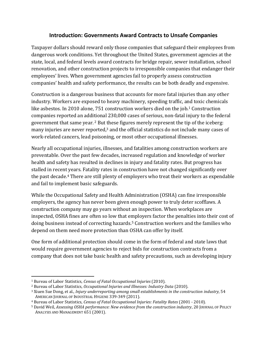#### **Introduction: Governments Award Contracts to Unsafe Companies**

Taxpayer dollars should reward only those companies that safeguard their employees from dangerous work conditions. Yet throughout the United States, government agencies at the state, local, and federal levels award contracts for bridge repair, sewer installation, school renovation, and other construction projects to irresponsible companies that endanger their employees' lives. When government agencies fail to properly assess construction companies' health and safety performance, the results can be both deadly and expensive.

Construction is a dangerous business that accounts for more fatal injuries than any other industry. Workers are exposed to heavy machinery, speeding traffic, and toxic chemicals like asbestos. In 2010 alone, 751 construction workers died on the job. <sup>1</sup> Construction companies reported an additional 230,000 cases of serious, non-fatal injury to the federal government that same year. <sup>2</sup> But these figures merely represent the tip of the iceberg: many injuries are never reported, <sup>3</sup> and the official statistics do not include many cases of work-related cancers, lead poisoning, or most other occupational illnesses.

Nearly all occupational injuries, illnesses, and fatalities among construction workers are preventable. Over the past few decades, increased regulation and knowledge of worker health and safety has resulted in declines in injury and fatality rates. But progress has stalled in recent years. Fatality rates in construction have not changed significantly over the past decade.<sup>4</sup> There are still plenty of employers who treat their workers as expendable and fail to implement basic safeguards.

While the Occupational Safety and Health Administration (OSHA) can fine irresponsible employers, the agency has never been given enough power to truly deter scofflaws. A construction company may go years without an inspection. When workplaces are inspected, OSHA fines are often so low that employers factor the penalties into their cost of doing business instead of correcting hazards. <sup>5</sup> Construction workers and the families who depend on them need more protection than OSHA can offer by itself.

One form of additional protection should come in the form of federal and state laws that would require government agencies to reject bids for construction contracts from a company that does not take basic health and safety precautions, such as developing injury

l

<sup>1</sup> Bureau of Labor Statistics, *Census of Fatal Occupational Injuries* (2010).

<sup>2</sup> Bureau of Labor Statistics, *Occupational Injuries and Illnesses: Industry Data* (2010).

<sup>3</sup> Xiuen Sue Dong, et al., *Injury underreporting among small establishments in the construction industry*, 54 AMERICAN JOURNAL OF INDUSTRIAL HYGIENE 339-349 (2011).

<sup>4</sup> Bureau of Labor Statistics, *Census of Fatal Occupational Injuries: Fatality Rates* (2001 - 2010).

<sup>5</sup> David Weil, *Assessing OSHA performance: New evidence from the construction industry*, 20 JOURNAL OF POLICY ANALYSIS AND MANAGEMENT 651 (2001).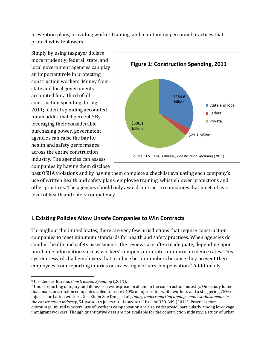prevention plans, providing worker training, and maintaining personnel practices that protect whistleblowers.

Simply by using taxpayer dollars more prudently, federal, state, and local government agencies can play an important role in protecting construction workers. Money from state and local governments accounted for a third of all construction spending during 2011; federal spending accounted for an additional 4 percent.<sup>6</sup> By leveraging their considerable purchasing power, government agencies can raise the bar for health and safety performance across the entire construction industry. The agencies can assess companies by having them disclose



past OSHA violations and by having them complete a checklist evaluating each company's use of written health and safety plans, employee training, whistleblower protections and other practices. The agencies should only award contract to companies that meet a basic level of health and safety competency.

#### **I. Existing Policies Allow Unsafe Companies to Win Contracts**

Throughout the United States, there are very few jurisdictions that require construction companies to meet minimum standards for health and safety practices. When agencies do conduct health and safety assessments, the reviews are often inadequate, depending upon unreliable information such as workers' compensation rates or injury incidence rates. This system rewards bad employers that produce better numbers because they prevent their employees from reporting injuries or accessing workers compensation.<sup>7</sup> Additionally,

l <sup>6</sup> U.S. Census Bureau, *Construction Spending* (2011).

<sup>7</sup> Underreporting of injury and illness is a widespread problem in the construction industry. One study found that small construction companies failed to report 40% of injuries for white workers and a staggering 75% of injuries for Latino workers. See Xiuen Sue Dong, et al., *Injury underreporting among small establishments in the construction industry*, 54 AMERICAN JOURNAL OF INDUSTRIAL HYGIENE 339-349 (2011). Practices that discourage injured workers' use of workers compensation are also widespread, particularly among low-wage immigrant workers. Though quantitative data are not available for the construction industry, a study of urban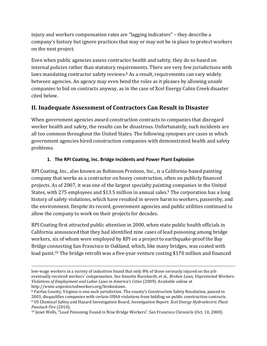injury and workers compensation rates are "lagging indicators" – they describe a company's history but ignore practices that may or may not be in place to protect workers on the next project.

Even when public agencies assess contractor health and safety, they do so based on internal policies rather than statutory requirements. There are very few jurisdictions with laws mandating contractor safety reviews.<sup>8</sup> As a result, requirements can vary widely between agencies. An agency may even bend the rules as it pleases by allowing unsafe companies to bid on contracts anyway, as in the case of Xcel Energy Cabin Creek disaster cited below.

# **II. Inadequate Assessment of Contractors Can Result in Disaster**

When government agencies award construction contracts to companies that disregard worker health and safety, the results can be disastrous. Unfortunately, such incidents are all too common throughout the United States. The following synopses are cases in which government agencies hired construction companies with demonstrated health and safety problems.

#### **1. The RPI Coating, Inc. Bridge Incidents and Power Plant Explosion**

RPI Coating, Inc., also known as Robinson Prezioso, Inc., is a California-based painting company that works as a contractor on heavy construction, often on publicly financed projects. As of 2007, it was one of the largest specialty painting companies in the United States, with 275 employees and \$13.5 million in annual sales.<sup>9</sup> The corporation has a long history of safety violations, which have resulted in severe harm to workers, passersby, and the environment. Despite its record, government agencies and public utilities continued to allow the company to work on their projects for decades.

RPI Coating first attracted public attention in 2000, when state public health officials in California announced that they had identified nine cases of lead poisoning among bridge workers, six of whom were employed by RPI on a project to earthquake-proof the Bay Bridge connecting San Francisco to Oakland, which, like many bridges, was coated with lead paint.<sup>10</sup> The bridge retrofit was a five-year venture costing \$170 million and financed

 $\overline{a}$ 

low-wage workers in a variety of industries found that only 8% of those seriously injured on the job eventually received workers' compensation. See Annette Burnhardt, et al., *Broken Laws, Unprotected Workers: Violations of Employment and Labor Laws in America's Cities* (2009). Available online at http://www.unprotectedworkers.org/brokenlaws.

<sup>8</sup> Fairfax County, Virginia is one such jurisdiction. The county's Construction Safety Resolution, passed in 2003, disqualifies companies with certain OSHA violations from bidding on public construction contracts. <sup>9</sup> US Chemical Safety and Hazard Investigation Board, *Investigation Report: Xcel Energy Hydroelectric Plant Penstock Fire* (2010).

<sup>10</sup> Janet Wells, "Lead Poisoning Found in Nine Bridge Workers", San Francisco Chronicle (Oct. 10, 2000).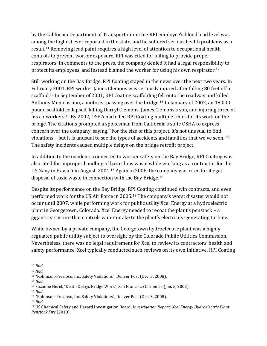by the California Department of Transportation. One RPI employee's blood lead level was among the highest ever reported in the state, and he suffered serious health problems as a result.<sup>11</sup> Removing lead paint requires a high level of attention to occupational health controls to prevent worker exposure. RPI was cited for failing to provide proper respirators; in comments to the press, the company denied it had a legal responsibility to protect its employees, and instead blamed the worker for using his own respirator.<sup>12</sup>

Still working on the Bay Bridge, RPI Coating stayed in the news over the next two years. In February 2001, RPI worker James Clemons was seriously injured after falling 80 feet off a scaffold.<sup>13</sup> In September of 2001, RPI Coating scaffolding fell onto the roadway and killed Anthony Menolascino, a motorist passing over the bridge.<sup>14</sup> In January of 2002, an 18,000 pound scaffold collapsed, killing Darryl Clemons, James Clemons's son, and injuring three of his co-workers.<sup>15</sup> By 2002, OSHA had cited RPI Coating multiple times for its work on the bridge. The citations prompted a spokesman from California's state OSHA to express concern over the company, saying, "For the size of this project, it's not unusual to find violations – but it is unusual to see the types of accidents and fatalities that we've seen."<sup>16</sup> The safety incidents caused multiple delays on the bridge retrofit project.

In addition to the incidents connected to worker safety on the Bay Bridge, RPI Coating was also cited for improper handling of hazardous waste while working as a contractor for the US Navy in Hawai'i in August, 2001.<sup>17</sup> Again in 2006, the company was cited for illegal disposal of toxic waste in connection with the Bay Bridge.<sup>18</sup>

Despite its performance on the Bay Bridge, RPI Coating continued win contracts, and even performed work for the US Air Force in 2005.<sup>19</sup> The company's worst disaster would not occur until 2007, while performing work for public utility Xcel Energy at a hydroelectric plant in Georgetown, Colorado. Xcel Energy needed to recoat the plant's penstock – a gigantic structure that controls water intake to the plant's electricity-generating turbine.

While owned by a private company, the Georgetown hydroelectric plant was a highly regulated public utility subject to oversight by the Colorado Public Utilities Commission. Nevertheless, there was no legal requirement for Xcel to review its contractors' health and safety performance. Xcel typically conducted such reviews on its own initiative. RPI Coating

 $\overline{\phantom{a}}$ <sup>11</sup> *Ibid.*

<sup>12</sup> *Ibid.*

<sup>13</sup> "Robinson-Prezioso, Inc. Safety Violations", Denver Post (Dec. 3, 2008)*.*

<sup>14</sup> *Ibid.*

<sup>15</sup> Suzanne Herel, "Death Delays Bridge Work", San Francisco Chronicle (Jan. 5, 2002).

<sup>16</sup> *Ibid.*

<sup>17</sup> "Robinson-Prezioso, Inc. Safety Violations", Denver Post (Dec. 3, 2008)*.*

<sup>18</sup> *Ibid.*

<sup>19</sup> US Chemical Safety and Hazard Investigation Board, *Investigation Report: Xcel Energy Hydroelectric Plant Penstock Fire* (2010).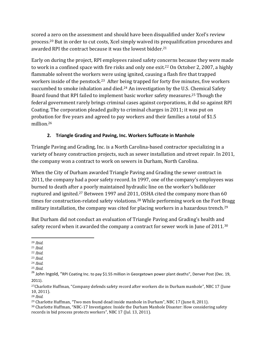scored a zero on the assessment and should have been disqualified under Xcel's review process. <sup>20</sup> But in order to cut costs, Xcel simply waived its prequalification procedures and awarded RPI the contract because it was the lowest bidder.<sup>21</sup>

Early on during the project, RPI employees raised safety concerns because they were made to work in a confined space with fire risks and only one exit.<sup>22</sup> On October 2, 2007, a highly flammable solvent the workers were using ignited, causing a flash fire that trapped workers inside of the penstock.23 After being trapped for forty five minutes, five workers succumbed to smoke inhalation and died.<sup>24</sup> An investigation by the U.S. Chemical Safety Board found that RPI failed to implement basic worker safety measures. <sup>25</sup> Though the federal government rarely brings criminal cases against corporations, it did so against RPI Coating. The corporation pleaded guilty to criminal charges in 2011; it was put on probation for five years and agreed to pay workers and their families a total of \$1.5 million.<sup>26</sup>

#### **2. Triangle Grading and Paving, Inc. Workers Suffocate in Manhole**

Triangle Paving and Grading, Inc. is a North Carolina-based contractor specializing in a variety of heavy construction projects, such as sewer installation and street repair. In 2011, the company won a contract to work on sewers in Durham, North Carolina.

When the City of Durham awarded Triangle Paving and Grading the sewer contract in 2011, the company had a poor safety record. In 1997, one of the company's employees was burned to death after a poorly maintained hydraulic line on the worker's bulldozer ruptured and ignited.<sup>27</sup> Between 1997 and 2011, OSHA cited the company more than 60 times for construction-related safety violations.<sup>28</sup> While performing work on the Fort Bragg military installation, the company was cited for placing workers in a hazardous trench.<sup>29</sup>

But Durham did not conduct an evaluation of Triangle Paving and Grading's health and safety record when it awarded the company a contract for sewer work in June of 2011.<sup>30</sup>

<sup>22</sup> *Ibid.*

<sup>28</sup> *Ibid.*

<sup>29</sup> Charlotte Huffman, "Two men found dead inside manhole in Durham", NBC 17 (June 8, 2011).

<sup>30</sup> Charlotte Huffman, "NBC-17 Investigates: Inside the Durham Manhole Disaster: How considering safety records in bid process protects workers", NBC 17 (Jul. 13, 2011).

 $\overline{\phantom{a}}$ <sup>20</sup> *Ibid.*

<sup>21</sup> *Ibid.*

<sup>23</sup> *Ibid.*

<sup>24</sup> *Ibid.*

<sup>25</sup> *Ibid.*

<sup>&</sup>lt;sup>26</sup> John Ingold, "RPI Coating Inc. to pay \$1.55 million in Georgetown power plant deaths", Denver Post (Dec. 19, 2011).

<sup>27</sup>Charlotte Huffman, "Company defends safety record after workers die in Durham manhole", NBC 17 (June 10, 2011).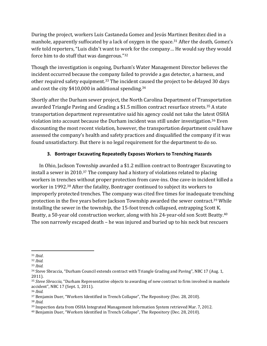During the project, workers Luis Castaneda Gomez and Jesús Martinez Benitez died in a manhole, apparently suffocated by a lack of oxygen in the space.<sup>31</sup> After the death, Gomez's wife told reporters, "Luis didn't want to work for the company… He would say they would force him to do stuff that was dangerous."<sup>32</sup>

Though the investigation is ongoing, Durham's Water Management Director believes the incident occurred because the company failed to provide a gas detector, a harness, and other required safety equipment.<sup>33</sup> The incident caused the project to be delayed 30 days and cost the city \$410,000 in additional spending. 34

Shortly after the Durham sewer project, the North Carolina Department of Transportation awarded Triangle Paving and Grading a \$1.5 million contract resurface streets.<sup>35</sup> A state transportation department representative said his agency could not take the latest OSHA violation into account because the Durham incident was still under investigation.<sup>36</sup> Even discounting the most recent violation, however, the transportation department could have assessed the company's health and safety practices and disqualified the company if it was found unsatisfactory. But there is no legal requirement for the department to do so.

#### **3. Bontrager Excavating Repeatedly Exposes Workers to Trenching Hazards**

In Ohio, Jackson Township awarded a \$1.2 million contract to Bontrager Excavating to install a sewer in 2010.<sup>37</sup> The company had a history of violations related to placing workers in trenches without proper protection from cave-ins. One cave-in incident killed a worker in 1992.<sup>38</sup> After the fatality, Bontrager continued to subject its workers to improperly protected trenches. The company was cited five times for inadequate trenching protection in the five years before Jackson Township awarded the sewer contract.<sup>39</sup> While installing the sewer in the township, the 15-foot trench collapsed, entrapping Scott K. Beatty, a 50-year old construction worker, along with his 24-year-old son Scott Beatty.<sup>40</sup> The son narrowly escaped death – he was injured and buried up to his neck but rescuers

<sup>38</sup> *Ibid.*

 $\overline{a}$ <sup>31</sup> *Ibid*.

<sup>32</sup> *Ibid.*

<sup>33</sup> *Ibid.*

<sup>&</sup>lt;sup>34</sup> Steve Sbraccia, "Durham Council extends contract with Triangle Grading and Paving", NBC 17 (Aug. 1, 2011).

<sup>35</sup> *Steve Sbraccia,* "Durham Representative objects to awarding of new contract to firm involved in manhole accident", NBC 17 (Sept. 1, 2011).

<sup>36</sup> *Ibid.*

<sup>37</sup> Benjamin Duer, "Workers Identified in Trench Collapse", The Repository (Dec. 28, 2010).

<sup>39</sup> Inspection data from OSHA Integrated Management Information System retrieved Mar. 7, 2012.

<sup>40</sup> Benjamin Duer, "Workers Identified in Trench Collapse", The Repository (Dec. 28, 2010).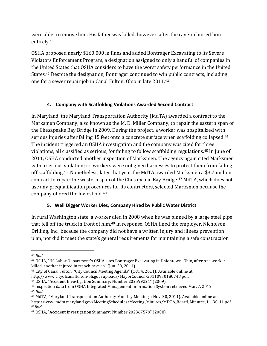were able to remove him. His father was killed, however, after the cave-in buried him entirely.<sup>41</sup>

OSHA proposed nearly \$160,000 in fines and added Bontrager Excavating to its Severe Violators Enforcement Program, a designation assigned to only a handful of companies in the United States that OSHA considers to have the worst safety performance in the United States.<sup>42</sup> Despite the designation, Bontrager continued to win public contracts, including one for a sewer repair job in Canal Fulton, Ohio in late 2011.<sup>43</sup>

#### **4. Company with Scaffolding Violations Awarded Second Contract**

In Maryland, the Maryland Transportation Authority (MdTA) awarded a contract to the Marksmen Company, also known as the M. D. Miller Company, to repair the eastern span of the Chesapeake Bay Bridge in 2009. During the project, a worker was hospitalized with serious injuries after falling 15 feet onto a concrete surface when scaffolding collapsed.<sup>44</sup> The incident triggered an OSHA investigation and the company was cited for three violations, all classified as serious, for failing to follow scaffolding regulations.<sup>45</sup> In June of 2011, OSHA conducted another inspection of Marksmen. The agency again cited Marksmen with a serious violation; its workers were not given harnesses to protect them from falling off scaffolding.46 Nonetheless, later that year the MdTA awarded Marksmen a \$3.7 million contract to repair the western span of the Chesapeake Bay Bridge.<sup>47</sup> MdTA, which does not use any prequalification procedures for its contractors, selected Marksmen because the company offered the lowest bid.<sup>48</sup>

#### **5. Well Digger Worker Dies, Company Hired by Public Water District**

In rural Washington state, a worker died in 2008 when he was pinned by a large steel pipe that fell off the truck in front of him.<sup>49</sup> In response, OSHA fined the employer, Nicholson Drilling, Inc., because the company did not have a written injury and illness prevention plan, nor did it meet the state's general requirements for maintaining a safe construction

 $\overline{a}$ 

<sup>41</sup> *Ibid.*

<sup>42</sup> OSHA, "US Labor Department's OSHA cites Bontrager Excavating in Uniontown, Ohio, after one worker killed, another injured in trench cave-in" (Jun. 20, 2011).

<sup>43</sup> City of Canal Fulton, "City Council Meeting Agenda" (Oct. 4, 2011). Available online at http://www.cityofcanalfulton-oh.gov/uploads/MayorCouncil-20110930180748.pdf.

<sup>44</sup> OSHA, "Accident Investigation Summary: Number 202599221" (2009).

<sup>45</sup> Inspection data from OSHA Integrated Management Information System retrieved Mar. 7, 2012. <sup>46</sup> *Ibid.*

<sup>47</sup> MdTA, "Maryland Transportation Authority Monthly Meeting" (Nov. 30, 2011). Available online at http://www.mdta.maryland.gov/MeetingSchedules/Meeting\_Minutes/MDTA\_Board\_Minutes\_11-30-11.pdf. <sup>48</sup>*Ibid*.

<sup>49</sup> OSHA, "Accident Investigation Summary: Number 202367579" (2008).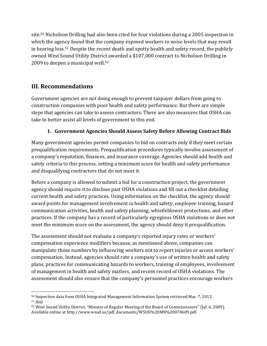site.<sup>50</sup> Nicholson Drilling had also been cited for four violations during a 2005 inspection in which the agency found that the company exposed workers to noise levels that may result in hearing loss.<sup>51</sup> Despite the recent death and spotty health and safety record, the publicly owned West Sound Utility District awarded a \$107,000 contract to Nicholson Drilling in 2009 to deepen a municipal well.<sup>52</sup>

# **III. Recommendations**

Government agencies are not doing enough to prevent taxpayer dollars from going to construction companies with poor health and safety performance. But there are simple steps that agencies can take to assess contractors. There are also measures that OSHA can take to better assist all levels of government to this end.

#### **1. Government Agencies Should Assess Safety Before Allowing Contract Bids**

Many government agencies permit companies to bid on contracts only if they meet certain prequalification requirements. Prequalification procedures typically involve assessment of a company's reputation, finances, and insurance coverage. Agencies should add health and safety criteria to this process, setting a minimum score for health and safety performance and disqualifying contractors that do not meet it.

Before a company is allowed to submit a bid for a construction project, the government agency should require it to disclose past OSHA violations and fill out a checklist detailing current health and safety practices. Using information on the checklist, the agency should award points for management involvement in health and safety, employee training, hazard communication activities, health and safety planning, whistleblower protections, and other practices. If the company has a record of particularly egregious OSHA violations or does not meet the minimum score on the assessment, the agency should deny it prequalification.

The assessment should not evaluate a company's reported injury rates or workers' compensation experience modifiers because, as mentioned above, companies can manipulate those numbers by influencing workers not to report injuries or access workers' compensation. Instead, agencies should rate a company's use of written health and safety plans, practices for communicating hazards to workers, training of employees, involvement of management in health and safety matters, and recent record of OSHA violations. The assessment should also ensure that the company's personnel practices encourage workers

 $\overline{a}$ <sup>50</sup> Inspection data from OSHA Integrated Management Information System retrieved Mar. 7, 2012. <sup>51</sup> *Ibid*.

<sup>52</sup> West Sound Utility District, "Minutes of Regular Meeting of the Board of Commissioners" (Jul. 6, 2009). Available online at http://www.wsud.us/pdf\_documents/WSUD%20MN%20070609.pdf.